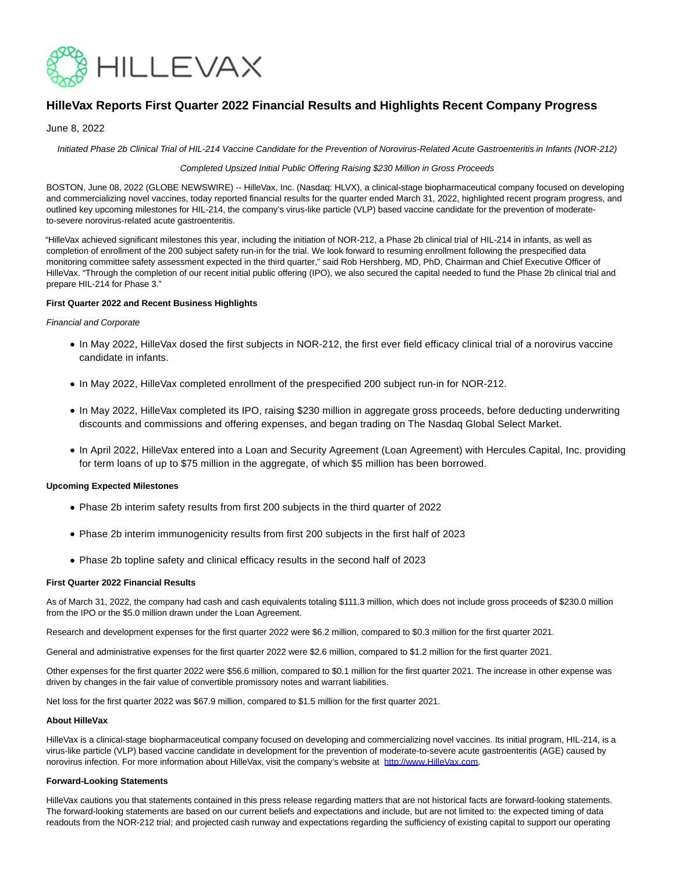

# **HilleVax Reports First Quarter 2022 Financial Results and Highlights Recent Company Progress**

# June 8, 2022

Initiated Phase 2b Clinical Trial of HIL-214 Vaccine Candidate for the Prevention of Norovirus-Related Acute Gastroenteritis in Infants (NOR-212)

## Completed Upsized Initial Public Offering Raising \$230 Million in Gross Proceeds

BOSTON, June 08, 2022 (GLOBE NEWSWIRE) -- HilleVax, Inc. (Nasdaq: HLVX), a clinical-stage biopharmaceutical company focused on developing and commercializing novel vaccines, today reported financial results for the quarter ended March 31, 2022, highlighted recent program progress, and outlined key upcoming milestones for HIL-214, the company's virus-like particle (VLP) based vaccine candidate for the prevention of moderateto-severe norovirus-related acute gastroenteritis.

"HilleVax achieved significant milestones this year, including the initiation of NOR-212, a Phase 2b clinical trial of HIL-214 in infants, as well as completion of enrollment of the 200 subject safety run-in for the trial. We look forward to resuming enrollment following the prespecified data monitoring committee safety assessment expected in the third quarter," said Rob Hershberg, MD, PhD, Chairman and Chief Executive Officer of HilleVax. "Through the completion of our recent initial public offering (IPO), we also secured the capital needed to fund the Phase 2b clinical trial and prepare HIL-214 for Phase 3."

## **First Quarter 2022 and Recent Business Highlights**

#### Financial and Corporate

- In May 2022, HilleVax dosed the first subjects in NOR-212, the first ever field efficacy clinical trial of a norovirus vaccine candidate in infants.
- In May 2022, HilleVax completed enrollment of the prespecified 200 subject run-in for NOR-212.
- In May 2022, HilleVax completed its IPO, raising \$230 million in aggregate gross proceeds, before deducting underwriting discounts and commissions and offering expenses, and began trading on The Nasdaq Global Select Market.
- In April 2022, HilleVax entered into a Loan and Security Agreement (Loan Agreement) with Hercules Capital, Inc. providing for term loans of up to \$75 million in the aggregate, of which \$5 million has been borrowed.

#### **Upcoming Expected Milestones**

- Phase 2b interim safety results from first 200 subjects in the third quarter of 2022
- Phase 2b interim immunogenicity results from first 200 subjects in the first half of 2023
- Phase 2b topline safety and clinical efficacy results in the second half of 2023

#### **First Quarter 2022 Financial Results**

As of March 31, 2022, the company had cash and cash equivalents totaling \$111.3 million, which does not include gross proceeds of \$230.0 million from the IPO or the \$5.0 million drawn under the Loan Agreement.

Research and development expenses for the first quarter 2022 were \$6.2 million, compared to \$0.3 million for the first quarter 2021.

General and administrative expenses for the first quarter 2022 were \$2.6 million, compared to \$1.2 million for the first quarter 2021.

Other expenses for the first quarter 2022 were \$56.6 million, compared to \$0.1 million for the first quarter 2021. The increase in other expense was driven by changes in the fair value of convertible promissory notes and warrant liabilities.

Net loss for the first quarter 2022 was \$67.9 million, compared to \$1.5 million for the first quarter 2021.

#### **About HilleVax**

HilleVax is a clinical-stage biopharmaceutical company focused on developing and commercializing novel vaccines. Its initial program, HIL-214, is a virus-like particle (VLP) based vaccine candidate in development for the prevention of moderate-to-severe acute gastroenteritis (AGE) caused by norovirus infection. For more information about HilleVax, visit the company's website at [http://www.HilleVax.com.](https://www.globenewswire.com/Tracker?data=BKA-pUUcNpq9LrJD8IH8jkE28Lh1Ks03bAczIJR3uR6_tHbKevV62aG-ff_8YgQ_XP4MIZ_7tXsieSWOcaXpkrD4TpYOCtXB4nX7AsQseNZAO5-k8JqHDII_eCcU3-MRAgi-WbzcGWXd1GcPiKN-ZhIyRUNotrwPokNqIgajKZAYZeU7LmGP9j8eNmhtMjr2OZHOzT6zSvWKRMfflF-XCP7WKz1MeqZBSRThvUQpK0i5e9PGhl6zFEw7aiH3OeDa1xyHAA7FpJnAX-7RaU-0ag==)

#### **Forward-Looking Statements**

HilleVax cautions you that statements contained in this press release regarding matters that are not historical facts are forward-looking statements. The forward-looking statements are based on our current beliefs and expectations and include, but are not limited to: the expected timing of data readouts from the NOR-212 trial; and projected cash runway and expectations regarding the sufficiency of existing capital to support our operating